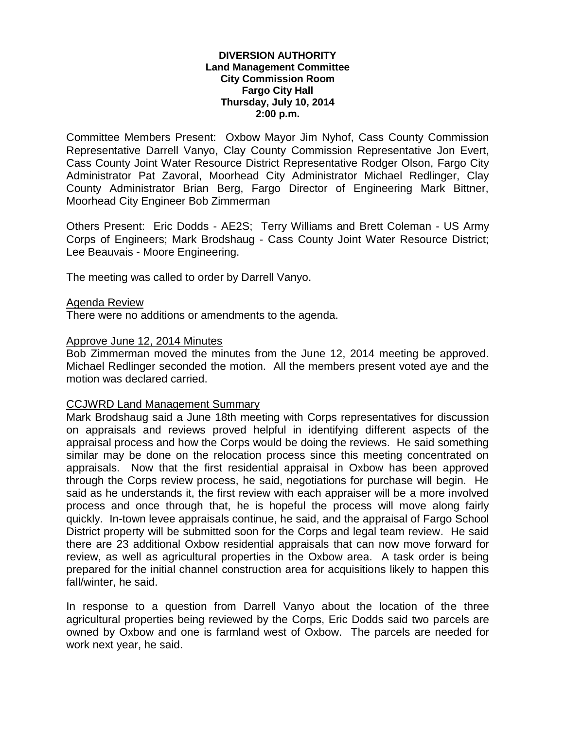#### **DIVERSION AUTHORITY Land Management Committee City Commission Room Fargo City Hall Thursday, July 10, 2014 2:00 p.m.**

Committee Members Present: Oxbow Mayor Jim Nyhof, Cass County Commission Representative Darrell Vanyo, Clay County Commission Representative Jon Evert, Cass County Joint Water Resource District Representative Rodger Olson, Fargo City Administrator Pat Zavoral, Moorhead City Administrator Michael Redlinger, Clay County Administrator Brian Berg, Fargo Director of Engineering Mark Bittner, Moorhead City Engineer Bob Zimmerman

Others Present: Eric Dodds - AE2S; Terry Williams and Brett Coleman - US Army Corps of Engineers; Mark Brodshaug - Cass County Joint Water Resource District; Lee Beauvais - Moore Engineering.

The meeting was called to order by Darrell Vanyo.

#### Agenda Review

There were no additions or amendments to the agenda.

#### Approve June 12, 2014 Minutes

Bob Zimmerman moved the minutes from the June 12, 2014 meeting be approved. Michael Redlinger seconded the motion. All the members present voted aye and the motion was declared carried.

#### CCJWRD Land Management Summary

Mark Brodshaug said a June 18th meeting with Corps representatives for discussion on appraisals and reviews proved helpful in identifying different aspects of the appraisal process and how the Corps would be doing the reviews. He said something similar may be done on the relocation process since this meeting concentrated on appraisals. Now that the first residential appraisal in Oxbow has been approved through the Corps review process, he said, negotiations for purchase will begin. He said as he understands it, the first review with each appraiser will be a more involved process and once through that, he is hopeful the process will move along fairly quickly. In-town levee appraisals continue, he said, and the appraisal of Fargo School District property will be submitted soon for the Corps and legal team review. He said there are 23 additional Oxbow residential appraisals that can now move forward for review, as well as agricultural properties in the Oxbow area. A task order is being prepared for the initial channel construction area for acquisitions likely to happen this fall/winter, he said.

In response to a question from Darrell Vanyo about the location of the three agricultural properties being reviewed by the Corps, Eric Dodds said two parcels are owned by Oxbow and one is farmland west of Oxbow. The parcels are needed for work next year, he said.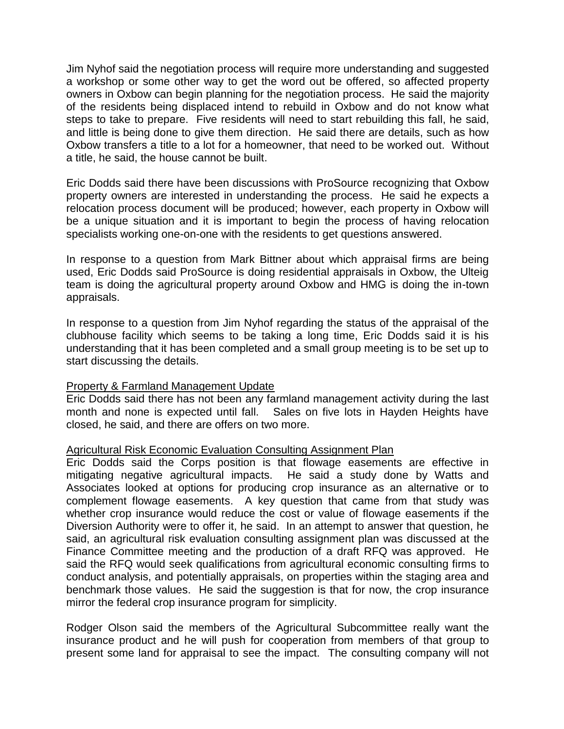Jim Nyhof said the negotiation process will require more understanding and suggested a workshop or some other way to get the word out be offered, so affected property owners in Oxbow can begin planning for the negotiation process. He said the majority of the residents being displaced intend to rebuild in Oxbow and do not know what steps to take to prepare. Five residents will need to start rebuilding this fall, he said, and little is being done to give them direction. He said there are details, such as how Oxbow transfers a title to a lot for a homeowner, that need to be worked out. Without a title, he said, the house cannot be built.

Eric Dodds said there have been discussions with ProSource recognizing that Oxbow property owners are interested in understanding the process. He said he expects a relocation process document will be produced; however, each property in Oxbow will be a unique situation and it is important to begin the process of having relocation specialists working one-on-one with the residents to get questions answered.

In response to a question from Mark Bittner about which appraisal firms are being used, Eric Dodds said ProSource is doing residential appraisals in Oxbow, the Ulteig team is doing the agricultural property around Oxbow and HMG is doing the in-town appraisals.

In response to a question from Jim Nyhof regarding the status of the appraisal of the clubhouse facility which seems to be taking a long time, Eric Dodds said it is his understanding that it has been completed and a small group meeting is to be set up to start discussing the details.

# Property & Farmland Management Update

Eric Dodds said there has not been any farmland management activity during the last month and none is expected until fall. Sales on five lots in Hayden Heights have closed, he said, and there are offers on two more.

# Agricultural Risk Economic Evaluation Consulting Assignment Plan

Eric Dodds said the Corps position is that flowage easements are effective in mitigating negative agricultural impacts. He said a study done by Watts and Associates looked at options for producing crop insurance as an alternative or to complement flowage easements. A key question that came from that study was whether crop insurance would reduce the cost or value of flowage easements if the Diversion Authority were to offer it, he said. In an attempt to answer that question, he said, an agricultural risk evaluation consulting assignment plan was discussed at the Finance Committee meeting and the production of a draft RFQ was approved. He said the RFQ would seek qualifications from agricultural economic consulting firms to conduct analysis, and potentially appraisals, on properties within the staging area and benchmark those values. He said the suggestion is that for now, the crop insurance mirror the federal crop insurance program for simplicity.

Rodger Olson said the members of the Agricultural Subcommittee really want the insurance product and he will push for cooperation from members of that group to present some land for appraisal to see the impact. The consulting company will not